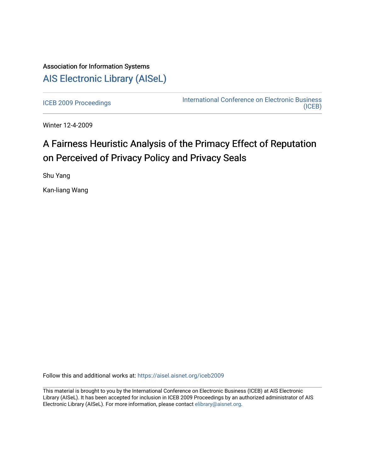## Association for Information Systems [AIS Electronic Library \(AISeL\)](https://aisel.aisnet.org/)

[ICEB 2009 Proceedings](https://aisel.aisnet.org/iceb2009) **International Conference on Electronic Business** [\(ICEB\)](https://aisel.aisnet.org/iceb) 

Winter 12-4-2009

# A Fairness Heuristic Analysis of the Primacy Effect of Reputation on Perceived of Privacy Policy and Privacy Seals

Shu Yang

Kan-liang Wang

Follow this and additional works at: [https://aisel.aisnet.org/iceb2009](https://aisel.aisnet.org/iceb2009?utm_source=aisel.aisnet.org%2Ficeb2009%2F88&utm_medium=PDF&utm_campaign=PDFCoverPages)

This material is brought to you by the International Conference on Electronic Business (ICEB) at AIS Electronic Library (AISeL). It has been accepted for inclusion in ICEB 2009 Proceedings by an authorized administrator of AIS Electronic Library (AISeL). For more information, please contact [elibrary@aisnet.org.](mailto:elibrary@aisnet.org%3E)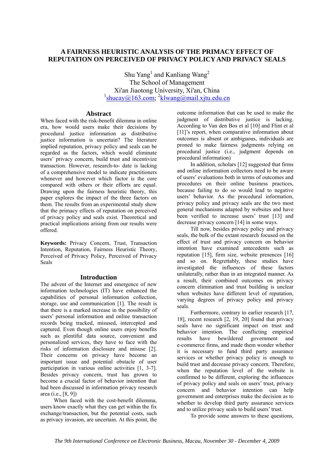## **A FAIRNESS HEURISTIC ANALYSIS OF THE PRIMACY EFFECT OF REPUTATION ON PERCEIVED OF PRIVACY POLICY AND PRIVACY SEALS**

Shu Yang<sup>1</sup> and Kanliang Wang<sup>2</sup> The School of Management Xi'an Jiaotong University, Xi'an, China  $\frac{1_{\text{shucay}(Q)163,\text{com}}}{\text{shucay}(Q163,\text{com})}$   $\frac{2_{\text{klwan}(Q)}}{\text{klwan}(Q1)}$ 

## **Abstract**

When faced with the risk-benefit dilemma in online era, how would users make their decisions by procedural justice information as distributive justice information is uncertain? The literature implied reputation, privacy policy and seals can be regarded as the factors, which would eliminate users' privacy concern, build trust and incentivize transaction. However, research-to- date is lacking of a comprehensive model to indicate practitioners whenever and however which factor is the core compared with others or their efforts are equal. Drawing upon the fairness heuristic theory, this paper explores the impact of the three factors on them. The results from an experimental study show that the primacy effects of reputation on perceived of privacy policy and seals exist. Theoretical and practical implications arising from our results were offered.

**Keywords:** Privacy Concern, Trust, Transaction Intention, Reputation, Fairness Heuristic Theory, Perceived of Privacy Policy, Perceived of Privacy Seals

## **Introduction**

The advent of the Internet and emergence of new information technologies (IT) have enhanced the capabilities of personal information collection, storage, use and communication [1]. The result is that there is a marked increase in the possibility of users' personal information and online transaction records being tracked, misused, intercepted and captured. Even though online users enjoy benefits such as plentiful data source, convenient and personalized services, they have to face with the risks of information disclosure and misuse [2]. Their concerns on privacy have become an important issue and potential obstacle of user participation in various online activities [1, 3-7]. Besides privacy concern, trust has grown to become a crucial factor of behavior intention that had been discussed in information privacy research area (i.e., [8, 9])

When faced with the cost-benefit dilemma, users know exactly what they can get within the fix exchange/transaction, but the potential costs, such as privacy invasion, are uncertain. At this point, the

outcome information that can be used to make the judgment of distributive justice is lacking. According to Van den Bos et al [10] and Flint et al [11]'s report, when comparative information about outcomes is absent or ambiguous, individuals are proned to make fairness judgments relying on procedural justice (i.e., judgment depends on procedural information)

In addition, scholars [12] suggested that firms and online information collectors need to be aware of users' evaluations both in terms of outcomes and procedures on their online business practices, because failing to do so would lead to negative users' behavior. As the procedural information, privacy policy and privacy seals are the two most general mechanisms adapted by websites and have been verified to increase users' trust [13] and decrease privacy concern [14] in some ways.

Till now, besides privacy policy and privacy seals, the bulk of the extant research focused on the effect of trust and privacy concern on behavior intention have examined antecedents such as reputation [15], firm size, website presences [16] and so on. Regrettably, these studies have investigated the influences of these factors unilaterally, rather than in an integrated manner. As a result, their combined outcomes on privacy concern elimination and trust building is unclear when websites have different level of reputation, varying degrees of privacy policy and privacy seals.

Furthermore, contrary to earlier research [17, 18], recent research [2, 19, 20] found that privacy seals have no significant impact on trust and behavior intention. The conflicting empirical results have bewildered government and e-commerce firms, and made them wonder whether it is necessary to fund third party assurance services or whether privacy policy is enough to build trust and decrease privacy concern. Therefore, when the reputation level of the website is confirmed to be different, exploring the influences of privacy policy and seals on users' trust, privacy concern and behavior intention can help government and enterprises make the decision as to whether to develop third party assurance services and to utilize privacy seals to build users' trust.

To provide some answers to these questions,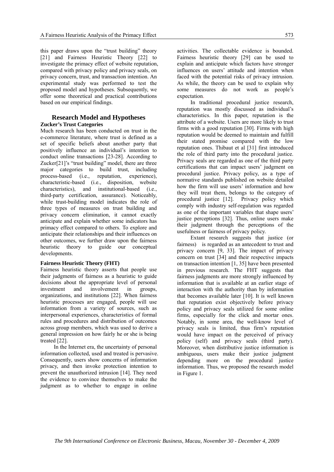this paper draws upon the "trust building" theory [21] and Fairness Heuristic Theory [22] to investigate the primacy effect of website reputation, compared with privacy policy and privacy seals, on privacy concern, trust, and transaction intention. An experimental study was performed to test the proposed model and hypotheses. Subsequently, we offer some theoretical and practical contributions based on our empirical findings.

## **Research Model and Hypotheses Zucker's Trust Categories**

Much research has been conducted on trust in the e-commerce literature, where trust is defined as a set of specific beliefs about another party that positively influence an individual's intention to conduct online transactions [23-28]. According to Zucker[21]'s "trust building" model, there are three major categories to build trust, including process-based (i.e., reputation, experience), characteristic-based (i.e., disposition, website characteristics), and institutional-based (i.e., third-party certification, assurance). Noticeably, while trust-building model indicates the role of three types of measures on trust building and privacy concern elimination, it cannot exactly anticipate and explain whether some indicators has primacy effect compared to others. To explore and anticipate their relationships and their influences on other outcomes, we further draw upon the fairness heuristic theory to guide our conceptual developments.

#### **Fairness Heuristic Theory (FHT)**

Fairness heuristic theory asserts that people use their judgments of fairness as a heuristic to guide decisions about the appropriate level of personal investment and involvement in groups, organizations, and institutions [22]. When fairness heuristic processes are engaged, people will use information from a variety of sources, such as interpersonal experiences, characteristics of formal rules and procedures and distribution of outcomes across group members, which was used to derive a general impression on how fairly he or she is being treated [22].

In the Internet era, the uncertainty of personal information collected, used and treated is pervasive. Consequently, users show concerns of information privacy, and then invoke protection intention to prevent the unauthorized intrusion [14]. They need the evidence to convince themselves to make the judgment as to whether to engage in online

activities. The collectable evidence is bounded. Fairness heuristic theory [29] can be used to explain and anticipate which factors have stronger influences on users' attitude and intention when faced with the potential risks of privacy intrusion. As while, the theory can be used to explain why some measures do not work as people's expectation.

In traditional procedural justice research, reputation was mostly discussed as individual's characteristics. In this paper, reputation is the attribute of a website. Users are more likely to trust firms with a good reputation [30]. Firms with high reputation would be deemed to maintain and fulfill their stated promise compared with the low reputation ones. Thibaut et al [31] first introduced the role of third party into the procedural justice. Privacy seals are regarded as one of the third party certifications that can impact users' judgment on procedural justice. Privacy policy, as a type of normative standards published on website detailed how the firm will use users' information and how they will treat them, belongs to the category of procedural justice [12]. Privacy policy which comply with industry self-regulation was regarded as one of the important variables that shape users' justice perceptions [32]. Thus, online users make their judgment through the perceptions of the usefulness or fairness of privacy policy.

Extant research suggests that justice (or fairness) is regarded as an antecedent to trust and privacy concern [9, 33]. The impact of privacy concern on trust [34] and their respective impacts on transaction intention [1, 35] have been presented in previous research. The FHT suggests that fairness judgments are more strongly influenced by information that is available at an earlier stage of interaction with the authority than by information that becomes available later [10]. It is well known that reputation exist objectively before privacy policy and privacy seals utilized for some online firms, especially for the click and mortar ones. Notably, in some area, the well-know level of privacy seals is limited, thus firm's reputation would have impact on the perceived of privacy policy (self) and privacy seals (third party). Moreover, when distributive justice information is ambiguous, users make their justice judgment depending more on the procedural justice information. Thus, we proposed the research model in Figure 1.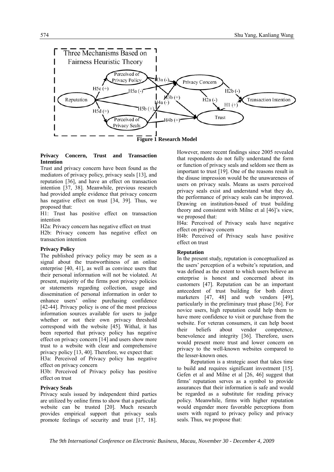

#### **Privacy Concern, Trust and Transaction Intention**

Trust and privacy concern have been found as the mediators of privacy policy, privacy seals [13], and reputation [36], and have an effect on transaction intention [37, 38]. Meanwhile, previous research had provided ample evidence that privacy concern has negative effect on trust [34, 39]. Thus, we proposed that:

H1: Trust has positive effect on transaction intention

H2a: Privacy concern has negative effect on trust H2b: Privacy concern has negative effect on transaction intention

## **Privacy Policy**

The published privacy policy may be seen as a signal about the trustworthiness of an online enterprise [40, 41], as well as convince users that their personal information will not be violated. At present, majority of the firms post privacy policies or statements regarding collection, usage and dissemination of personal information in order to enhance users' online purchasing confidence [42-44]. Privacy policy is one of the most precious information sources available for users to judge whether or not their own privacy threshold correspond with the website [45]. Withal, it has been reported that privacy policy has negative effect on privacy concern [14] and users show more trust to a website with clear and comprehensive privacy policy [13, 40]. Therefore, we expect that:

H3a: Perceived of Privacy policy has negative effect on privacy concern

H3b: Perceived of Privacy policy has positive effect on trust

## **Privacy Seals**

Privacy seals issued by independent third parties are utilized by online firms to show that a particular website can be trusted [20]. Much research provides empirical support that privacy seals promote feelings of security and trust [17, 18].

However, more recent findings since 2005 revealed that respondents do not fully understand the form or function of privacy seals and seldom see them as important to trust [19]. One of the reasons result in the disuse impression would be the unawareness of users on privacy seals. Means as users perceived privacy seals exist and understand what they do, the performance of privacy seals can be improved. Drawing on institution-based of trust building theory and consistent with Milne et al [46]'s view, we proposed that:

H4a: Perceived of Privacy seals have negative effect on privacy concern

H4b: Perceived of Privacy seals have positive effect on trust

## **Reputation**

In the present study, reputation is conceptualized as the users' perception of a website's reputation, and was defined as the extent to which users believe an enterprise is honest and concerned about its customers [47]. Reputation can be an important antecedent of trust building for both direct marketers [47, 48] and web vendors [49], particularly in the preliminary trust phase [36]. For novice users, high reputation could help them to have more confidence to visit or purchase from the website. For veteran consumers, it can help boost their beliefs about vendor competence, benevolence and integrity [36]. Therefore, users would present more trust and lower concern on privacy to the well-known websites compared to the lesser-known ones.

Reputation is a strategic asset that takes time to build and requires significant investment [15]. Gefen et al and Milne et al [26, 46] suggest that firms' reputation serves as a symbol to provide assurances that their information is safe and would be regarded as a substitute for reading privacy policy. Meanwhile, firms with higher reputation would engender more favorable perceptions from users with regard to privacy policy and privacy seals. Thus, we propose that: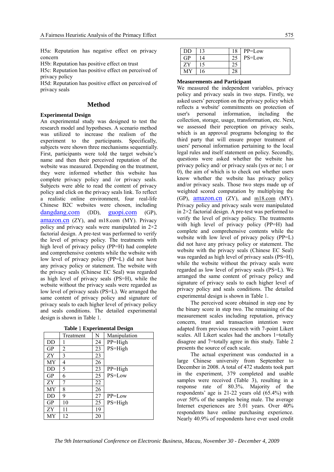H5a: Reputation has negative effect on privacy concern

H5b: Reputation has positive effect on trust

H5c: Reputation has positive effect on perceived of privacy policy

H5d: Reputation has positive effect on perceived of privacy seals

## **Method**

#### **Experimental Design**

An experimental study was designed to test the research model and hypotheses. A scenario method was utilized to increase the realism of the experiment to the participants. Specifically, subjects were shown three mechanisms sequentially. First, participants were told the target website's name and then their perceived reputation of the website was measured. Depending on the treatment, they were informed whether this website has complete privacy policy and /or privacy seals. Subjects were able to read the content of privacy policy and click on the privacy seals link. To reflect a realistic online environment, four real-life Chinese B2C websites were chosen, including dangdang.com (DD), guopi.com (GP), amazon.cn (ZY), and m18.com (MY). Privacy policy and privacy seals were manipulated in 2×2 factorial design. A pre-test was performed to verify the level of privacy policy. The treatments with high level of privacy policy (PP=H) had complete and comprehensive contents while the website with low level of privacy policy (PP=L) did not have any privacy policy or statement. The website with the privacy seals (Chinese EC Seal) was regarded as high level of privacy seals (PS=H), while the website without the privacy seals were regarded as low level of privacy seals (PS=L). We arranged the same content of privacy policy and signature of privacy seals to each higher level of privacy policy and seals conditions. The detailed experimental design is shown in Table 1.

|  | <b>Table 1 Experimental Design</b> |  |
|--|------------------------------------|--|
|--|------------------------------------|--|

|           | Treatment | N  | Manipulation |
|-----------|-----------|----|--------------|
| DD        |           | 24 | $PP = High$  |
| <b>GP</b> | 2         | 23 | PS=High      |
| ZY        | 3         | 23 |              |
| MY        | 4         | 26 |              |
| DD        | 5         | 23 | $PP = High$  |
| <b>GP</b> | 6         | 25 | PS=Low       |
| ZΥ        | 7         | 22 |              |
| МY        | 8         | 26 |              |
| DD        | 9         | 27 | PP=Low       |
| GP        | 10        | 25 | PS=High      |
| ZΥ        | 11        | 19 |              |
| МY        | 12        | 20 |              |

| DD  | 12 | 18 | PP=Low |
|-----|----|----|--------|
| GР  | 14 |    | PS=Low |
| ΖY  |    | ∠. |        |
| ۸IV | 16 |    |        |

#### **Measurements and Participant**

We measured the independent variables, privacy policy and privacy seals in two steps. Firstly, we asked users' perception on the privacy policy which reflects a website' commitments on protection of user's personal information, including the collection, storage, usage, transformation, etc. Next, we assessed their perception on privacy seals, which is an approval programs belonging to the third party that will ensure proper treatment of users' personal information pertaining to the local legal rules and itself statement on policy. Secondly, questions were asked whether the website has privacy policy and/ or privacy seals (yes or no; 1 or 0), the aim of which is to check out whether users know whether the website has privacy policy and/or privacy seals. Those two steps made up of weighted scored computation by multiplying the (GP),  $\frac{amazon cn}{cX}$  (ZY), and  $\frac{m18.com}{c}$  (MY). Privacy policy and privacy seals were manipulated in  $2\times 2$  factorial design. A pre-test was performed to verify the level of privacy policy. The treatments with high level of privacy policy (PP=H) had complete and comprehensive contents while the website with low level of privacy policy (PP=L) did not have any privacy policy or statement. The website with the privacy seals (Chinese EC Seal) was regarded as high level of privacy seals (PS=H), while the website without the privacy seals were regarded as low level of privacy seals (PS=L). We arranged the same content of privacy policy and signature of privacy seals to each higher level of privacy policy and seals conditions. The detailed experimental design is shown in Table 1.

The perceived score obtained in step one by the binary score in step two. The remaining of the measurement scales including reputation, privacy concern, trust and transaction intention were adapted from previous research with 7-point Likert scales. All Likert scales had the anchors 1=totally disagree and 7=totally agree in this study. Table 2 presents the source of each scale.

The actual experiment was conducted in a large Chinese university from September to December in 2008. A total of 472 students took part in the experiment, 379 completed and usable samples were received (Table 3), resulting in a response rate of 80.3%. Majority of the respondents' age is 21-22 years old (65.4%) with over 50% of the samples being male. The average Internet experiences are 5.01 years. Over 40% respondents have online purchasing experience. Nearly 40.9% of respondents have ever used credit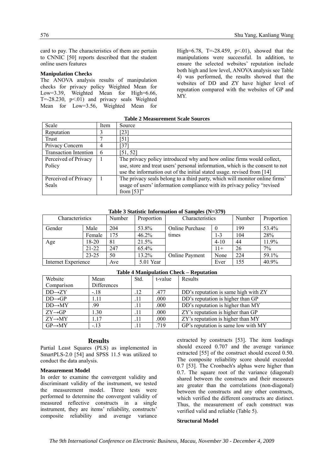card to pay. The characteristics of them are pertain to CNNIC [50] reports described that the student online users features

#### **Manipulation Checks**

The ANOVA analysis results of manipulation checks for privacy policy Weighted Mean for Low=3.39, Weighted Mean for High=6.66,  $T=-28.230$ ,  $p<01$ ) and privacy seals Weighted Mean for Low=3.56, Weighted Mean for

High=6.78, T=-28.459, p<.01), showed that the manipulations were successful. In addition, to ensure the selected websites' reputation include both high and low level, ANOVA analysis see Table 4) was performed, the results showed that the websites of DD and ZY have higher level of reputation compared with the websites of GP and MY.

#### **Table 2 Measurement Scale Sources**

| Scale                        | Item | Source                                                                        |
|------------------------------|------|-------------------------------------------------------------------------------|
| Reputation                   |      | [23]                                                                          |
| Trust                        |      | 51                                                                            |
| Privacy Concern              | 4    | 37                                                                            |
| <b>Transaction Intention</b> | 6    | [51, 52]                                                                      |
| Perceived of Privacy         |      | The privacy policy introduced why and how online firms would collect,         |
| Policy                       |      | use, store and treat users' personal information, which is the consent to not |
|                              |      | use the information out of the initial stated usage, revised from [14]        |
| Perceived of Privacy         |      | The privacy seals belong to a third party, which will monitor online firms'   |
| Seals                        |      | usage of users' information compliance with its privacy policy "revised"      |
|                              |      | from $[53]$ "                                                                 |

| 10010 C Diamsile 111101111011011 of Dampies (19–077) |           |        |            |                        |          |        |            |  |  |
|------------------------------------------------------|-----------|--------|------------|------------------------|----------|--------|------------|--|--|
| Characteristics                                      |           | Number | Proportion | Characteristics        |          | Number | Proportion |  |  |
| Gender                                               | Male      | 204    | 53.8%      | <b>Online Purchase</b> |          | 199    | 53.4%      |  |  |
|                                                      | Female    | 175    | 46.2%      | times                  | 1-3      | 104    | 28%        |  |  |
| Age                                                  | 18-20     | 81     | 21.5%      |                        | $4 - 10$ | 44     | 11.9%      |  |  |
|                                                      | $21 - 22$ | 247    | 65.4%      |                        | $11+$    | 26     | 7%         |  |  |
|                                                      | $23 - 25$ | 50     | 13.2%      | Online Payment         | None     | 224    | 59.1%      |  |  |
| Internet Experience                                  |           | Ave    | 5.01 Year  |                        | Ever     | 155    | 40.9%      |  |  |

#### **Table 3 Statistic Information of Samples (N=379)**

| <b>Table 4 Manipulation Check - Reputation</b> |             |      |         |                                      |  |  |  |
|------------------------------------------------|-------------|------|---------|--------------------------------------|--|--|--|
| Website                                        | Mean        | Std. | t-value | Results                              |  |  |  |
| Comparison                                     | Differences |      |         |                                      |  |  |  |
| $DD\rightarrow ZY$                             | $-.18$      | .12  | .477    | DD's reputation is same high with ZY |  |  |  |
| $DD \rightarrow GP$                            | 1.11        | .11  | .000    | DD's reputation is higher than GP    |  |  |  |
| $DD \rightarrow MY$                            | .99         | .11  | .000    | DD's reputation is higher than MY    |  |  |  |
| $ZY\rightarrow GP$                             | 1.30        | .11  | .000    | ZY's reputation is higher than GP    |  |  |  |
| $ZY\rightarrow MY$                             | 1.17        | .11  | .000    | ZY's reputation is higher than MY    |  |  |  |
| $GP \rightarrow MY$                            | $-.13$      | .11  | .719    | GP's reputation is same low with MY  |  |  |  |

## **Results**

Partial Least Squares (PLS) as implemented in SmartPLS-2.0 [54] and SPSS 11.5 was utilized to conduct the data analysis.

#### **Measurement Model**

In order to examine the convergent validity and discriminant validity of the instrument, we tested the measurement model. Three tests were performed to determine the convergent validity of measured reflective constructs in a single instrument, they are items' reliability, constructs' composite reliability and average variance

extracted by constructs [53]. The item loadings should exceed 0.707 and the average variance extracted [55] of the construct should exceed 0.50. The composite reliability score should exceeded 0.7 [53]. The Cronbach's alphas were higher than 0.7. The square root of the variance (diagonal) shared between the constructs and their measures are greater than the correlations (non-diagonal) between the constructs and any other constructs, which verified the different constructs are distinct. Thus, the measurement of each construct was verified valid and reliable (Table 5).

#### **Structural Model**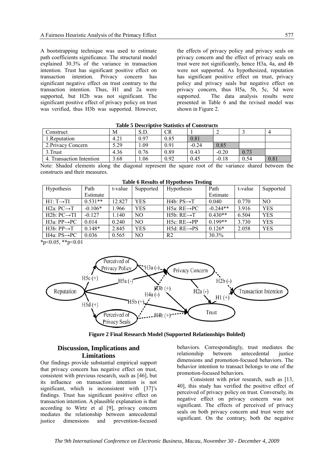A bootstrapping technique was used to estimate path coefficients significance. The structural model explained 30.3% of the variance in transaction intention. Trust has significant positive effect on transaction intention. Privacy concern has significant negative effect on trust contrary to the transaction intention. Thus, H1 and 2a were supported, but H2b was not significant. The significant positive effect of privacy policy on trust was verified, thus H3b was supported. However, the effects of privacy policy and privacy seals on privacy concern and the effect of privacy seals on trust were not significantly, hence H3a, 4a, and 4b were not supported. As hypothesized, reputation has significant positive effect on trust, privacy policy and privacy seals but negative effect on privacy concern, thus H5a, 5b, 5c, 5d were supported. The data analysis results were presented in Table 6 and the revised model was shown in Figure 2.

| Construct                                | М    | S.D. | CR   |         | -       |      |      |
|------------------------------------------|------|------|------|---------|---------|------|------|
| Reputation                               | 4.21 | 0.97 | 0.85 | 0.81    |         |      |      |
| 2. Privacy Concern                       | 5.29 | . 09 | 0.91 | $-0.24$ | 0.85    |      |      |
| 3. Trust                                 | 4.36 | 0.76 | 0.89 | 0.43    | $-0.20$ | 0.73 |      |
| <b>Transaction Intention</b><br>$\Delta$ | 3.68 | .06  | 0.92 | 0.45    | $-0.18$ | 0.54 | 0.81 |

**Table 5 Descriptive Statistics of Constructs**

Note: Shaded elements along the diagonal represent the square root of the variance shared between the constructs and their measures.

| <b>Hypothesis</b>                    | Path      | t-value | Supported      | <b>Hypothesis</b>        | Path       | t-value | Supported  |
|--------------------------------------|-----------|---------|----------------|--------------------------|------------|---------|------------|
|                                      | Estimate  |         |                |                          | Estimate   |         |            |
| $HI: T \rightarrow TI$               | $0.531**$ | 12.827  | <b>YES</b>     | $H4b: PS \rightarrow T$  | 0.040      | 0.770   | NO.        |
| H <sub>2a</sub> : $PC \rightarrow T$ | $-0.106*$ | 1.966   | <b>YES</b>     | H5a: $RE \rightarrow PC$ | $-0.244**$ | 3.916   | <b>YES</b> |
| $H2b: PC \rightarrow TI$             | $-0.127$  | 1.140   | NO.            | $H5b: RE \rightarrow T$  | $0.430**$  | 6.504   | <b>YES</b> |
| H3a: $PP \rightarrow PC$             | 0.014     | 0.240   | N <sub>O</sub> | $H5c: RE \rightarrow PP$ | $0.199**$  | 3.730   | <b>YES</b> |
| $H3b: PP \rightarrow T$              | $0.148*$  | 2.845   | <b>YES</b>     | $H5d: RE \rightarrow PS$ | $0.126*$   | 2.058   | <b>YES</b> |
| H4a: $PS \rightarrow PC$             | 0.036     | 0.565   | NO             | R <sub>2</sub>           | 30.3%      |         |            |

**Table 6 Results of Hypotheses Testing**

 $*p<0.05$ ,  $*p<0.01$ 



**Figure 2 Final Research Model (Supported Relationships Bolded)** 

## **Discussion, Implications and Limitations**

Our findings provide substantial empirical support that privacy concern has negative effect on trust, consistent with previous research, such as [46], but its influence on transaction intention is not significant, which is inconsistent with [37]'s findings. Trust has significant positive effect on transaction intention. A plausible explanation is that according to Wirtz et al [9], privacy concern mediates the relationship between antecedental justice dimensions and prevention-focused

behaviors. Correspondingly, trust mediates the relationship between antecedental justice dimensions and promotion-focused behaviors. The behavior intention to transact belongs to one of the promotion-focused behaviors.

Consistent with prior research, such as [13, 40], this study has verified the positive effect of perceived of privacy policy on trust. Conversely, its negative effect on privacy concern was not significant. The effects of perceived of privacy seals on both privacy concern and trust were not significant. On the contrary, both the negative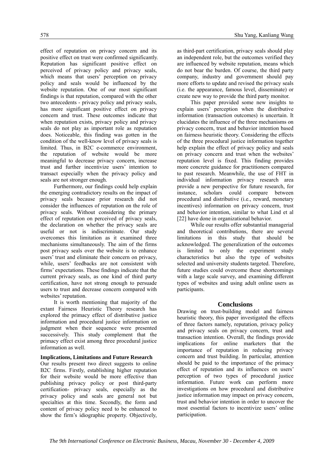effect of reputation on privacy concern and its positive effect on trust were confirmed significantly. Reputation has significant positive effect on perceived of privacy policy and privacy seals, which means that users' perception on privacy policy and seals would be influenced by the website reputation. One of our most significant findings is that reputation, compared with the other two antecedents - privacy policy and privacy seals, has more significant positive effect on privacy concern and trust. These outcomes indicate that when reputation exists, privacy policy and privacy seals do not play as important role as reputation does. Noticeable, this finding was gotten in the condition of the well-know level of privacy seals is limited. Thus, in B2C e-commerce environment, the reputation of website would be more meaningful to decrease privacy concern, increase trust and further incentivize users' intention to transact especially when the privacy policy and seals are not stronger enough.

Furthermore, our findings could help explain the emerging contradictory results on the impact of privacy seals because prior research did not consider the influences of reputation on the role of privacy seals. Without considering the primary effect of reputation on perceived of privacy seals, the declaration on whether the privacy seals are useful or not is indiscriminate. Our study overcomes this limitation as it examined three mechanisms simultaneously. The aim of the firms post privacy seals over the website is to enhance users' trust and eliminate their concern on privacy, while, users' feedbacks are not consistent with firms' expectations. These findings indicate that the current privacy seals, as one kind of third party certification, have not strong enough to persuade users to trust and decrease concern compared with websites' reputation.

It is worth mentioning that majority of the extant Fairness Heuristic Theory research has explored the primacy effect of distributive justice information and procedural justice information on judgment when their sequence were presented successively. This study complement that the primacy effect exist among three procedural justice information as well.

#### **Implications, Limitations and Future Research**

Our results present two direct suggests to online B2C firms. Firstly, establishing higher reputation for their website would be more effective than publishing privacy policy or post third-party certification- privacy seals, especially as the privacy policy and seals are general not but specialties at this time. Secondly, the form and content of privacy policy need to be enhanced to show the firm's idiographic property. Objectively,

as third-part certification, privacy seals should play an independent role, but the outcomes verified they are influenced by website reputation, means which do not bear the burden. Of course, the third party company, industry and government should pay more efforts to update and revised the privacy seals (i.e. the appearance, famous level, disseminate) or create new way to provide the third party monitor.

This paper provided some new insights to explain users' perception when the distributive information (transaction outcomes) is uncertain. It elucidates the influence of the three mechanisms on privacy concern, trust and behavior intention based on fairness heuristic theory. Considering the effects of the three procedural justice information together help explain the effect of privacy policy and seals on privacy concern and trust when the websites' reputation level is fixed. This finding provides more concrete guidance for practitioners compared to past research. Meanwhile, the use of FHT in individual information privacy research area provide a new perspective for future research, for instance, scholars could compare between procedural and distributive (i.e., reward, monetary incentives) information on privacy concern, trust and behavior intention, similar to what Lind et al [22] have done in organizational behavior.

While our results offer substantial managerial and theoretical contributions, there are several limitations in this study that should be acknowledged. The generalization of the outcomes is limited to only the experiment study characteristics but also the type of websites selected and university students targeted. Therefore, future studies could overcome these shortcomings with a large scale survey, and examining different types of websites and using adult online users as participants.

## **Conclusions**

Drawing on trust-building model and fairness heuristic theory, this paper investigated the effects of three factors namely, reputation, privacy policy and privacy seals on privacy concern, trust and transaction intention. Overall, the findings provide implications for online marketers that the importance of reputation in reducing privacy concern and trust building. In particular, attention should be paid to the importance of the primacy effect of reputation and its influences on users' perception of two types of procedural justice information. Future work can perform more investigations on how procedural and distributive justice information may impact on privacy concern, trust and behavior intention in order to uncover the most essential factors to incentivize users' online participation.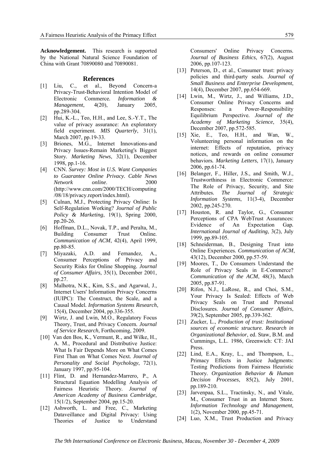**Acknowledgement.** This research is supported by the National Natural Science Foundation of China with Grant 70890080 and 70890081.

#### **References**

- [1] Liu, C., et al., Beyond Concern-a Privacy-Trust-Behavioral Intention Model of Electronic Commerce*. Information & Management*, 4(20), January 2005, pp.289-304.
- [2] Hui, K.-L., Teo, H.H., and Lee, S.-Y.T., The value of privacy assurance: An exploratory field experiment*. MIS Quarterly*, 31(1), March 2007, pp.19-33.
- [3] Briones, M.G., Internet Innovations-and Privacy Issues-Remain Marketing's Biggest Story*. Marketing News*, 32(1), December 1998, pp.1-16.
- [4] CNN. *Survey: Most in U.S. Want Companies to Guarantee Online Privacy. Cable News Network online*. 2000 (http://www.cnn.com/2000/TECH/computing /08/18/privacy.report/index.html).
- [5] Culnan, M.J., Protecting Privacy Online: Is Self-Regulation Working? *Journal of Public Policy & Marketing*, 19(1), Spring 2000, pp.20-26.
- [6] Hoffman, D.L., Novak, T.P., and Peralta, M., Building Consumer Trust Online*. Communication of ACM*, 42(4), April 1999, pp.80-85.
- [7] Miyazaki, A.D. and Fernandez, A., Consumer Perceptions of Privacy and Security Risks for Online Shopping*. Journal of Consumer Affairs*, 35(1), December 2001, pp.27.
- [8] Malhotra, N.K., Kim, S.S., and Agarwal, J., Internet Users' Information Privacy Concerns (IUIPC): The Construct, the Scale, and a Causal Model*. Information Systems Research*, 15(4), December 2004, pp.336-355.
- [9] Wirtz, J. and Lwin, M.O., Regulatory Focus Theory, Trust, and Privacy Concern*. Journal of Service Research*, Forthcoming, 2009.
- [10] Van den Bos, K., Vermunt, R., and Wilke, H., A. M., Procedural and Distributive Justice: What Is Fair Depends More on What Comes First Than on What Comes Next*. Journal of Personality and Social Psychology*, 72(1), January 1997, pp.95-104.
- [11] Flint, D. and Hernandez-Marrero, P., A. Structural Equation Modelling Analysis of Fairness Heuristic Theory*. Journal of American Academy of Business Cambridge*, 15(1/2), September 2004, pp.15-20.
- [12] Ashworth, L. and Free, C., Marketing Dataveillance and Digital Privacy: Using Theories of Justice to Understand

Consumers' Online Privacy Concerns*. Journal of Business Ethics*, 67(2), August 2006, pp.107-123.

- [13] Peterson, D., et al., Consumer trust: privacy policies and third-party seals*. Journal of Small Business and Enterprise Development*, 14(4), December 2007, pp.654-669.
- [14] Lwin, M., Wirtz, J., and Williams, J.D., Consumer Online Privacy Concerns and Responses: a Power-Responsibility Equilibrium Perspective*. Journal of the Academy of Marketing Science*, 35(4), December 2007, pp.572-585.
- [15] Xie, E., Teo, H.H., and Wan, W., Volunteering personal information on the internet: Effects of reputation, privacy notices, and rewards on online consumer behaviors*. Marketing Letters*, 17(1), January 2006, pp.61-74.
- [16] Belanger, F., Hiller, J.S., and Smith, W.J., Trustworthiness in Electronic Commerce: The Role of Privacy, Security, and Site Attributes*. The Journal of Strategic Information Systems*, 11(3-4), December 2002, pp.245-270.
- [17] Houston, R. and Taylor, G., Consumer Perceptions of CPA WebTrust Assurances: Evidence of An Expectation Gap*. International Journal of Auditing*, 3(2), July 1999, pp.89-105.
- [18] Schneiderman, B., Designing Trust into Online Experiences*. Communication of ACM*, 43(12), December 2000, pp.57-59.
- [19] Moores, T., Do Consumers Understand the Role of Privacy Seals in E-Commerce? *Communication of the ACM*, 48(3), March 2005, pp.87-91.
- [20] Rifon, N.J., LaRose, R., and Choi, S.M., Your Privacy Is Sealed: Effects of Web Privacy Seals on Trust and Personal Disclosures*. Journal of Consumer Affairs*, 39(2), September 2005, pp.339-362.
- [21] Zucker, L., *Production of trust: Institutional sources of economic structure. Research in Organizational Behavior*, ed. Staw, B.M. and Cummings, L.L. 1986, Greenwich: CT: JAI Press.
- [22] Lind, E.A., Kray, L., and Thompson, L., Primacy Effects in Justice Judgments: Testing Predictions from Fairness Heuristic Theory*. Organization Behavior & Human Decision Processes*, 85(2), July 2001, pp.189-210.
- [23] Jarvenpaa, S.L., Tractinsky, N., and Vitale, M., Consumer Trust in an Internet Store*. Information Technology and Management*, 1(2), November 2000, pp.45-71.
- [24] Luo, X.M., Trust Production and Privacy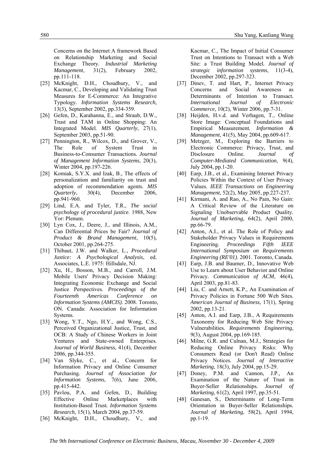Concerns on the Internet A framework Based on Relationship Marketing and Social Exchange Theory*. Industrial Marketing Management*, 31(2), February 2002, pp.111-118.

- [25] McKnight, D.H., Choudhury, V., and Kacmar, C., Developing and Validating Trust Measures for E-Commerce: An Integrative Typology*. Information Systems Research*, 13(3), September 2002, pp.334-359.
- [26] Gefen, D., Karahanna, E., and Straub, D.W., Trust and TAM in Online Shopping: An Integrated Model*. MIS Quarterly*, 27(1), September 2003, pp.51-90.
- [27] Pennington, R., Wilcox, D., and Grover, V., The Role of System Trust in Business-to-Consumer Transactions*. Journal of Management Information Systems*, 20(3), Winter 2004, pp.197-226.
- [28] Komiak, S.Y.X. and Izak, B., The effects of personalization and familiarity on trust and adoption of recommendation agents*. MIS Quarterly*, 30(4), December 2006, pp.941-960.
- [29] Lind, E.A. and Tyler, T.R., *The social psychology of procedural justice*. 1988, New Yor: Plenum.
- [30] Lyn Cox, J., Deere, J., and Illinois, A.M., Can Differential Prices be Fair? *Journal of Product & Brand Management*, 10(5), October 2001, pp.264-275.
- [31] Thibaut, J.W. and Walker, L., *Procedural Justice: A Psychological Analysis*, ed. Associates, L.E. 1975: Hillsdale, NJ.
- [32] Xu, H., Bosson, M.B., and Carroll, J.M. Mobile Users' Privacy Decision Making: Integrating Economic Exchange and Social Justice Perspectives. *Proceedings of the Fourteenth Americas Conference on Information Systems (AMCIS)*. 2008. Toronto, ON. Canada: Association for Information Systems.
- [33] Wong, Y.T., Ngo, H.Y., and Wong, C.S., Perceived Organizational Justice, Trust, and OCB: A Study of Chinese Workers in Joint Ventures and State-owned Enterprises*. Journal of World Business*, 41(4), December 2006, pp.344-355.
- [34] Van Slyke, C., et al., Concern for Information Privacy and Online Consumer Purchasing*. Journal of Association for Information Systems*, 7(6), June 2006, pp.415-442.
- [35] Pavlou, P.A. and Gefen, D., Building Effective Online Marketplaces with Institution-Based Trust*. Information Systems Research*, 15(1), March 2004, pp.37-59.
- [36] McKnight, D.H., Choudhury, V., and

Kacmar, C., The Impact of Initial Consumer Trust on Intentions to Transact with a Web Site: a Trust Building Model*. Journal of strategic information systems*, 11(3-4), December 2002, pp.297-323.

- [37] Dinev, T. and Hart, P., Internet Privacy Concerns and Social Awareness as Determinants of Intention to Transact*. International Journal of Electronic Commerce*, 10(2), Winter 2006, pp.7-31.
- [38] Heijden, H.v.d. and Verhagen, T., Online Store Image: Conceptual Foundations and Empirical Measurement*. Information & Management*, 41(5), May 2004, pp.609-617.
- [39] Metzger, M., Exploring the Barriers to Electronic Commerce: Privacy, Trust, and Disclosure Online*. Journal of Computer-Mediated Communication*, 9(4), July 2004, pp.1-20.
- [40] Earp, J.B., et al., Examining Internet Privacy Policies Within the Context of User Privacy Values*. IEEE Transactions on Engineering Management*, 52(2), May 2005, pp.227-237.
- [41] Kirmani, A. and Rao, A., No Pain, No Gain: A Critical Review of the Literature on Signaling Unobservable Product Quality*. Journal of Marketing*, 64(2), April 2000, pp.66-79.
- [42] Anton, A.I., et al. The Role of Policy and Stakeholder Privacy Values in Requirements Engineering. *Proceedings Fifth IEEE International Symposium on Requirements Engineering (RE'01)*. 2001. Toronto, Canada.
- [43] Earp, J.B. and Baumer, D., Innovative Web Use to Learn about User Behavior and Online Privacy*. Communication of ACM*, 46(4), April 2003, pp.81-83.
- [44] Liu, C. and Arnett, K.P., An Examination of Privacy Policies in Fortune 500 Web Sites*. American Journal of Business*, 17(1), Spring 2002, pp.13-21.
- [45] Anton, A.I. and Earp, J.B., A Requirements Taxonomy for Reducing Web Site Privacy Vulnerabilities*. Requirements Engineering*, 9(3), August 2004, pp.169-185.
- [46] Milne, G.R. and Culnan, M.J., Strategies for Reducing Online Privacy Risks: Why Consumers Read (or Don't Read) Online Privacy Notices*. Journal of Interactive Marketing*, 18(3), July 2004, pp.15-29.
- [47] Doney, P.M. and Cannon, J.P., An Examination of the Nature of Trust in Buyer-Seller Relationships*. Journal of Marketing*, 61(2), April 1997, pp.35-51.
- [48] Ganesan, S., Determinants of Long-Term Orientation in Buyer-Seller Relationships*. Journal of Marketing*, 58(2), April 1994, pp.1-19.